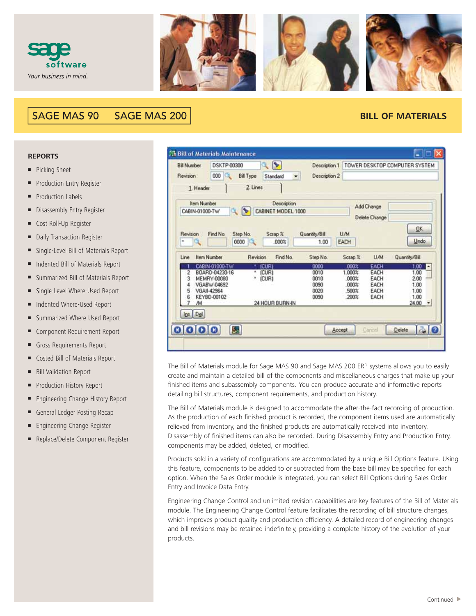



## **SAGE MAS 90 SAGE MAS 200**

## **BILL OF MATERIALS**

## **REPORTS**

- Picking Sheet
- Production Entry Register
- **Production Labels**
- Disassembly Entry Register
- Cost Roll-Up Register
- Daily Transaction Register
- Single-Level Bill of Materials Report
- Indented Bill of Materials Report
- Summarized Bill of Materials Report
- Single-Level Where-Used Report
- Indented Where-Used Report
- Summarized Where-Used Report
- Component Requirement Report
- Gross Requirements Report
- Costed Bill of Materials Report
- **Bill Validation Report**
- Production History Report
- Engineering Change History Report
- General Ledger Posting Recap
- Engineering Change Register
- Replace/Delete Component Register

| <b>Bill Number</b> | DSKTP-00300                | $\blacktriangleright$             | Description 1 |                    |               | TOWER DESKTOP COMPUTER SYSTEM |
|--------------------|----------------------------|-----------------------------------|---------------|--------------------|---------------|-------------------------------|
| Revision           | 000<br>Œ                   | <b>Bill Type</b><br>Standard<br>۰ | Description 2 |                    |               |                               |
| 1. Header          |                            | 2 Lines                           |               |                    |               |                               |
| <b>Item Number</b> |                            | Description                       |               |                    | Add Change    |                               |
| CABIN-01000-TW     |                            | CABINET MODEL 1000                |               |                    | Delete Change |                               |
|                    |                            |                                   |               |                    |               |                               |
| Revision           | Step No.<br>Find No.       | Scrap %                           | Quantity/Bill | U/M                |               | <b>OK</b>                     |
| ×                  | 0000                       | .000%                             | 1.00          | EACH               |               | Undo                          |
| Line               | <b>Item Number</b>         | Revision<br>Find No.              | Step No.      | Scrap <sub>%</sub> | U/M           | Quantity/Bill                 |
|                    | CABIN-01000-TW             | <b>ICURI</b>                      | 0000          | 000%               | EACH          | $1.00$ $\Box$                 |
| 2                  | BOARD-04230-16             | $\ast$<br>(CUR)                   | 0010          | 1.000%             | EACH          | 1.00                          |
| 3                  | MEMRY-00080<br>VGABW-04692 | (CUR)                             | 0010<br>0090  | .000%<br>.000%     | EACH<br>EACH  | 2.00<br>1.00                  |
| 5                  | VGAII-42964                |                                   | 0020          | 500%               | EACH          | 1.00                          |
| g                  | KEYBD-00102                |                                   | 0090          | 200%               | EACH          | 1.00                          |
| ΛМ                 |                            | 24 HOUR BURN-IN                   |               |                    |               | 24.00<br>$\bullet$            |
| Ins Del            |                            |                                   |               |                    |               |                               |
|                    |                            |                                   |               |                    |               |                               |
| 0 0 0 0            | S.                         |                                   | Accept        |                    | Cancel        | 20<br><b>Delete</b>           |
|                    |                            |                                   |               |                    |               |                               |

The Bill of Materials module for Sage MAS 90 and Sage MAS 200 ERP systems allows you to easily create and maintain a detailed bill of the components and miscellaneous charges that make up your finished items and subassembly components. You can produce accurate and informative reports detailing bill structures, component requirements, and production history.

The Bill of Materials module is designed to accommodate the after-the-fact recording of production. As the production of each finished product is recorded, the component items used are automatically relieved from inventory, and the finished products are automatically received into inventory. Disassembly of finished items can also be recorded. During Disassembly Entry and Production Entry, components may be added, deleted, or modified.

Products sold in a variety of configurations are accommodated by a unique Bill Options feature. Using this feature, components to be added to or subtracted from the base bill may be specified for each option. When the Sales Order module is integrated, you can select Bill Options during Sales Order Entry and Invoice Data Entry.

Engineering Change Control and unlimited revision capabilities are key features of the Bill of Materials module. The Engineering Change Control feature facilitates the recording of bill structure changes, which improves product quality and production efficiency. A detailed record of engineering changes and bill revisions may be retained indefinitely, providing a complete history of the evolution of your products.